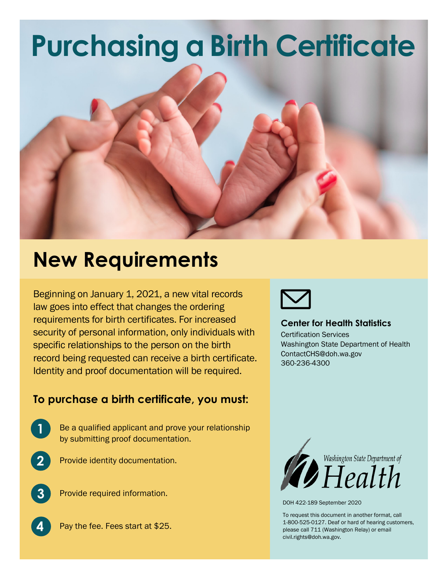## **Purchasing a Birth Certificate**



## **New Requirements**

Beginning on January 1, 2021, a new vital records law goes into effect that changes the ordering requirements for birth certificates. For increased security of personal information, only individuals with specific relationships to the person on the birth record being requested can receive a birth certificate. Identity and proof documentation will be required.

## **To purchase a birth certificate, you must:**

- Be a qualified applicant and prove your relationship by submitting proof documentation.
- **2**

**1**

Provide identity documentation.



**4**

Provide required information.





## **Center for Health Statistics**

Certification Services Washington State Department of Health ContactCHS@doh.wa.gov 360-236-4300



DOH 422-189 September 2020

To request this document in another format, call 1-800-525-0127. Deaf or hard of hearing customers, please call 711 (Washington Relay) or email [civil.rights@doh.wa.gov.](mailto:civil.rights@doh.wa.gov)